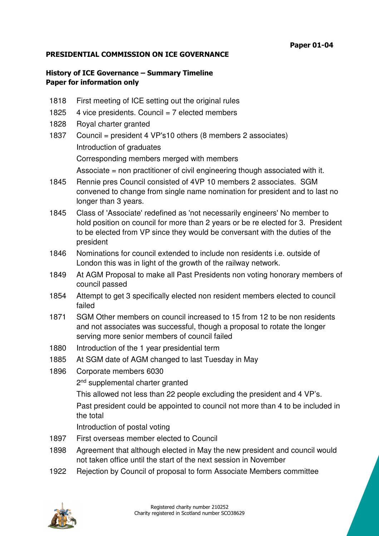## **PRESIDENTIAL COMMISSION ON ICE GOVERNANCE**

## **History of ICE Governance – Summary Timeline Paper for information only**

- 1818 First meeting of ICE setting out the original rules
- 1825  $\,$  4 vice presidents. Council = 7 elected members
- 1828 Royal charter granted
- 1837 Council = president 4 VP's10 others (8 members 2 associates) Introduction of graduates Corresponding members merged with members Associate = non practitioner of civil engineering though associated with it.
- 1845 Rennie pres Council consisted of 4VP 10 members 2 associates. SGM convened to change from single name nomination for president and to last no longer than 3 years.
- 1845 Class of 'Associate' redefined as 'not necessarily engineers' No member to hold position on council for more than 2 years or be re elected for 3. President to be elected from VP since they would be conversant with the duties of the president
- 1846 Nominations for council extended to include non residents i.e. outside of London this was in light of the growth of the railway network.
- 1849 At AGM Proposal to make all Past Presidents non voting honorary members of council passed
- 1854 Attempt to get 3 specifically elected non resident members elected to council failed
- 1871 SGM Other members on council increased to 15 from 12 to be non residents and not associates was successful, though a proposal to rotate the longer serving more senior members of council failed
- 1880 Introduction of the 1 year presidential term
- 1885 At SGM date of AGM changed to last Tuesday in May
- 1896 Corporate members 6030
	- 2<sup>nd</sup> supplemental charter granted

This allowed not less than 22 people excluding the president and 4 VP's.

Past president could be appointed to council not more than 4 to be included in the total

Introduction of postal voting

- 1897 First overseas member elected to Council
- 1898 Agreement that although elected in May the new president and council would not taken office until the start of the next session in November
- 1922 Rejection by Council of proposal to form Associate Members committee

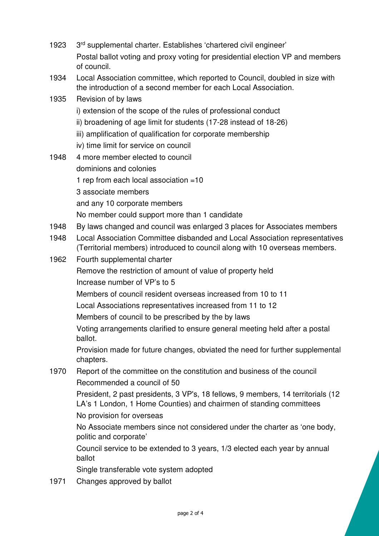- 1923 3rd supplemental charter. Establishes 'chartered civil engineer' Postal ballot voting and proxy voting for presidential election VP and members of council.
- 1934 Local Association committee, which reported to Council, doubled in size with the introduction of a second member for each Local Association.
- 1935 Revision of by laws
	- i) extension of the scope of the rules of professional conduct
	- ii) broadening of age limit for students (17-28 instead of 18-26)
	- iii) amplification of qualification for corporate membership
	- iv) time limit for service on council
- 1948 4 more member elected to council dominions and colonies 1 rep from each local association =10 3 associate members and any 10 corporate members No member could support more than 1 candidate
- 1948 By laws changed and council was enlarged 3 places for Associates members
- 1948 Local Association Committee disbanded and Local Association representatives (Territorial members) introduced to council along with 10 overseas members.
- 1962 Fourth supplemental charter
	- Remove the restriction of amount of value of property held Increase number of VP's to 5
	- Members of council resident overseas increased from 10 to 11
	- Local Associations representatives increased from 11 to 12
	- Members of council to be prescribed by the by laws
	- Voting arrangements clarified to ensure general meeting held after a postal ballot.
	- Provision made for future changes, obviated the need for further supplemental chapters.
- 1970 Report of the committee on the constitution and business of the council Recommended a council of 50
	- President, 2 past presidents, 3 VP's, 18 fellows, 9 members, 14 territorials (12 LA's 1 London, 1 Home Counties) and chairmen of standing committees No provision for overseas
	- No Associate members since not considered under the charter as 'one body, politic and corporate'

Council service to be extended to 3 years, 1/3 elected each year by annual ballot

Single transferable vote system adopted

1971 Changes approved by ballot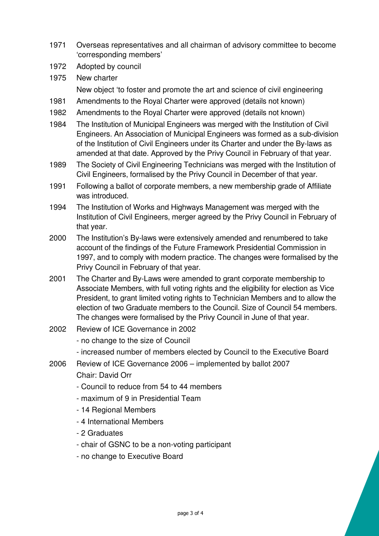- 1971 Overseas representatives and all chairman of advisory committee to become 'corresponding members'
- 1972 Adopted by council
- 1975 New charter New object 'to foster and promote the art and science of civil engineering
- 1981 Amendments to the Royal Charter were approved (details not known)
- 1982 Amendments to the Royal Charter were approved (details not known)
- 1984 The Institution of Municipal Engineers was merged with the Institution of Civil Engineers. An Association of Municipal Engineers was formed as a sub-division of the Institution of Civil Engineers under its Charter and under the By-laws as amended at that date. Approved by the Privy Council in February of that year.
- 1989 The Society of Civil Engineering Technicians was merged with the Institution of Civil Engineers, formalised by the Privy Council in December of that year.
- 1991 Following a ballot of corporate members, a new membership grade of Affiliate was introduced.
- 1994 The Institution of Works and Highways Management was merged with the Institution of Civil Engineers, merger agreed by the Privy Council in February of that year.
- 2000 The Institution's By-laws were extensively amended and renumbered to take account of the findings of the Future Framework Presidential Commission in 1997, and to comply with modern practice. The changes were formalised by the Privy Council in February of that year.
- 2001 The Charter and By-Laws were amended to grant corporate membership to Associate Members, with full voting rights and the eligibility for election as Vice President, to grant limited voting rights to Technician Members and to allow the election of two Graduate members to the Council. Size of Council 54 members. The changes were formalised by the Privy Council in June of that year.
- 2002 Review of ICE Governance in 2002
	- no change to the size of Council
	- increased number of members elected by Council to the Executive Board
- 2006 Review of ICE Governance 2006 implemented by ballot 2007

Chair: David Orr

- Council to reduce from 54 to 44 members
- maximum of 9 in Presidential Team
- 14 Regional Members
- 4 International Members
- 2 Graduates
- chair of GSNC to be a non-voting participant
- no change to Executive Board